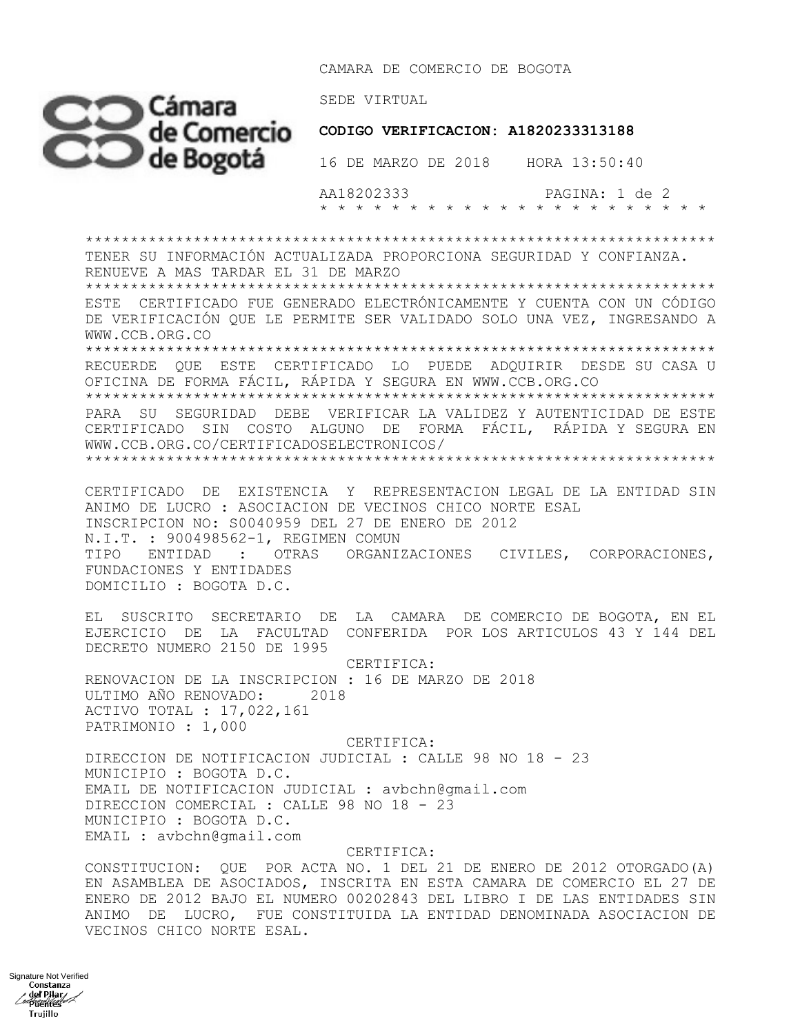CAMARA DE COMERCIO DE BOGOTA



 AA18202333 PAGINA: 1 de 2 \* \* \* \* \* \* \* \* \* \* \* \* \* \* \* \* \* \* \* \* \* \*

\*\*\*\*\*\*\*\*\*\*\*\*\*\*\*\*\*\*\*\*\*\*\*\*\*\*\*\*\*\*\*\*\*\*\*\*\*\*\*\*\*\*\*\*\*\*\*\*\*\*\*\*\*\*\*\*\*\*\*\*\*\*\*\*\*\*\*\*\*\* TENER SU INFORMACIÓN ACTUALIZADA PROPORCIONA SEGURIDAD Y CONFIANZA. RENUEVE A MAS TARDAR EL 31 DE MARZO \*\*\*\*\*\*\*\*\*\*\*\*\*\*\*\*\*\*\*\*\*\*\*\*\*\*\*\*\*\*\*\*\*\*\*\*\*\*\*\*\*\*\*\*\*\*\*\*\*\*\*\*\*\*\*\*\*\*\*\*\*\*\*\*\*\*\*\*\*\* ESTE CERTIFICADO FUE GENERADO ELECTRÓNICAMENTE Y CUENTA CON UN CÓDIGO DE VERIFICACIÓN QUE LE PERMITE SER VALIDADO SOLO UNA VEZ, INGRESANDO A WWW.CCB.ORG.CO \*\*\*\*\*\*\*\*\*\*\*\*\*\*\*\*\*\*\*\*\*\*\*\*\*\*\*\*\*\*\*\*\*\*\*\*\*\*\*\*\*\*\*\*\*\*\*\*\*\*\*\*\*\*\*\*\*\*\*\*\*\*\*\*\*\*\*\*\*\* RECUERDE QUE ESTE CERTIFICADO LO PUEDE ADQUIRIR DESDE SU CASA U OFICINA DE FORMA FÁCIL, RÁPIDA Y SEGURA EN WWW.CCB.ORG.CO \*\*\*\*\*\*\*\*\*\*\*\*\*\*\*\*\*\*\*\*\*\*\*\*\*\*\*\*\*\*\*\*\*\*\*\*\*\*\*\*\*\*\*\*\*\*\*\*\*\*\*\*\*\*\*\*\*\*\*\*\*\*\*\*\*\*\*\*\*\* PARA SU SEGURIDAD DEBE VERIFICAR LA VALIDEZ Y AUTENTICIDAD DE ESTE CERTIFICADO SIN COSTO ALGUNO DE FORMA FÁCIL, RÁPIDA Y SEGURA EN WWW.CCB.ORG.CO/CERTIFICADOSELECTRONICOS/ \*\*\*\*\*\*\*\*\*\*\*\*\*\*\*\*\*\*\*\*\*\*\*\*\*\*\*\*\*\*\*\*\*\*\*\*\*\*\*\*\*\*\*\*\*\*\*\*\*\*\*\*\*\*\*\*\*\*\*\*\*\*\*\*\*\*\*\*\*\* CERTIFICADO DE EXISTENCIA Y REPRESENTACION LEGAL DE LA ENTIDAD SIN ANIMO DE LUCRO : ASOCIACION DE VECINOS CHICO NORTE ESAL INSCRIPCION NO: S0040959 DEL 27 DE ENERO DE 2012 N.I.T. : 900498562-1, REGIMEN COMUN TIPO ENTIDAD : OTRAS ORGANIZACIONES CIVILES, CORPORACIONES, FUNDACIONES Y ENTIDADES DOMICILIO : BOGOTA D.C. EL SUSCRITO SECRETARIO DE LA CAMARA DE COMERCIO DE BOGOTA, EN EL EJERCICIO DE LA FACULTAD CONFERIDA POR LOS ARTICULOS 43 Y 144 DEL DECRETO NUMERO 2150 DE 1995 CERTIFICA: RENOVACION DE LA INSCRIPCION : 16 DE MARZO DE 2018 ULTIMO AÑO RENOVADO: 2018 ACTIVO TOTAL : 17,022,161 PATRIMONIO : 1,000 CERTIFICA: DIRECCION DE NOTIFICACION JUDICIAL : CALLE 98 NO 18 - 23 MUNICIPIO : BOGOTA D.C. EMAIL DE NOTIFICACION JUDICIAL : avbchn@gmail.com DIRECCION COMERCIAL : CALLE 98 NO 18 - 23 MUNICIPIO : BOGOTA D.C. EMAIL : avbchn@gmail.com CERTIFICA:

CONSTITUCION: QUE POR ACTA NO. 1 DEL 21 DE ENERO DE 2012 OTORGADO(A) EN ASAMBLEA DE ASOCIADOS, INSCRITA EN ESTA CAMARA DE COMERCIO EL 27 DE ENERO DE 2012 BAJO EL NUMERO 00202843 DEL LIBRO I DE LAS ENTIDADES SIN ANIMO DE LUCRO, FUE CONSTITUIDA LA ENTIDAD DENOMINADA ASOCIACION DE VECINOS CHICO NORTE ESAL.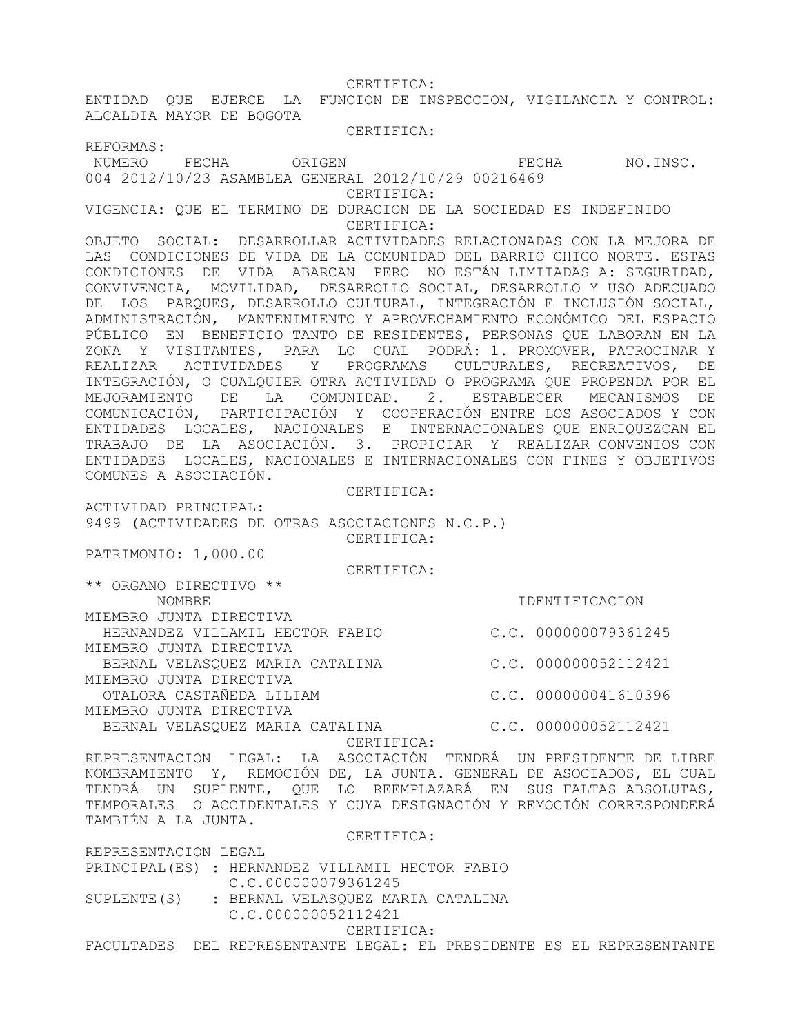CERTIFICA:

ENTIDAD QUE EJERCE LA FUNCION DE INSPECCION, VIGILANCIA Y CONTROL: ALCALDIA MAYOR DE BOGOTA

CERTIFICA:

REFORMAS:

NUMERO FECHA ORIGEN FECHA NO.INSC.

004 2012/10/23 ASAMBLEA GENERAL 2012/10/29 00216469

CERTIFICA:

VIGENCIA: QUE EL TERMINO DE DURACION DE LA SOCIEDAD ES INDEFINIDO CERTIFICA:

OBJETO SOCIAL: DESARROLLAR ACTIVIDADES RELACIONADAS CON LA MEJORA DE LAS CONDICIONES DE VIDA DE LA COMUNIDAD DEL BARRIO CHICO NORTE. ESTAS CONDICIONES DE VIDA ABARCAN PERO NO ESTÁN LIMITADAS A: SEGURIDAD, CONVIVENCIA, MOVILIDAD, DESARROLLO SOCIAL, DESARROLLO Y USO ADECUADO DE LOS PARQUES, DESARROLLO CULTURAL, INTEGRACIÓN E INCLUSIÓN SOCIAL, ADMINISTRACIÓN, MANTENIMIENTO Y APROVECHAMIENTO ECONÓMICO DEL ESPACIO PÚBLICO EN BENEFICIO TANTO DE RESIDENTES, PERSONAS QUE LABORAN EN LA ZONA Y VISITANTES, PARA LO CUAL PODRÁ: 1. PROMOVER, PATROCINAR Y REALIZAR ACTIVIDADES Y PROGRAMAS CULTURALES, RECREATIVOS, DE INTEGRACIÓN, O CUALQUIER OTRA ACTIVIDAD O PROGRAMA QUE PROPENDA POR EL MEJORAMIENTO DE LA COMUNIDAD. 2. ESTABLECER MECANISMOS DE COMUNICACIÓN, PARTICIPACIÓN Y COOPERACIÓN ENTRE LOS ASOCIADOS Y CON ENTIDADES LOCALES, NACIONALES E INTERNACIONALES QUE ENRIQUEZCAN EL TRABAJO DE LA ASOCIACIÓN. 3. PROPICIAR Y REALIZAR CONVENIOS CON ENTIDADES LOCALES, NACIONALES E INTERNACIONALES CON FINES Y OBJETIVOS COMUNES A ASOCIACIÓN.

CERTIFICA:

ACTIVIDAD PRINCIPAL: 9499 (ACTIVIDADES DE OTRAS ASOCIACIONES N.C.P.) CERTIFICA:

PATRIMONIO: 1,000.00

CERTIFICA:

\*\* ORGANO DIRECTIVO \*\* NOMBRE IDENTIFICACION MIEMBRO JUNTA DIRECTIVA HERNANDEZ VILLAMIL HECTOR FABIO C.C. 000000079361245 MIEMBRO JUNTA DIRECTIVA BERNAL VELASQUEZ MARIA CATALINA  $C.C. 000000052112421$ MIEMBRO JUNTA DIRECTIVA OTALORA CASTAÑEDA LILIAM C.C. 000000041610396

MIEMBRO JUNTA DIRECTIVA BERNAL VELASQUEZ MARIA CATALINA C.C. 000000052112421

CERTIFICA:

REPRESENTACION LEGAL: LA ASOCIACIÓN TENDRÁ UN PRESIDENTE DE LIBRE NOMBRAMIENTO Y, REMOCIÓN DE, LA JUNTA. GENERAL DE ASOCIADOS, EL CUAL TENDRÁ UN SUPLENTE, QUE LO REEMPLAZARÁ EN SUS FALTAS ABSOLUTAS, TEMPORALES O ACCIDENTALES Y CUYA DESIGNACIÓN Y REMOCIÓN CORRESPONDERÁ TAMBIÉN A LA JUNTA.

CERTIFICA:

REPRESENTACION LEGAL

PRINCIPAL(ES) : HERNANDEZ VILLAMIL HECTOR FABIO C.C.000000079361245 SUPLENTE(S) : BERNAL VELASQUEZ MARIA CATALINA C.C.000000052112421

CERTIFICA:

FACULTADES DEL REPRESENTANTE LEGAL: EL PRESIDENTE ES EL REPRESENTANTE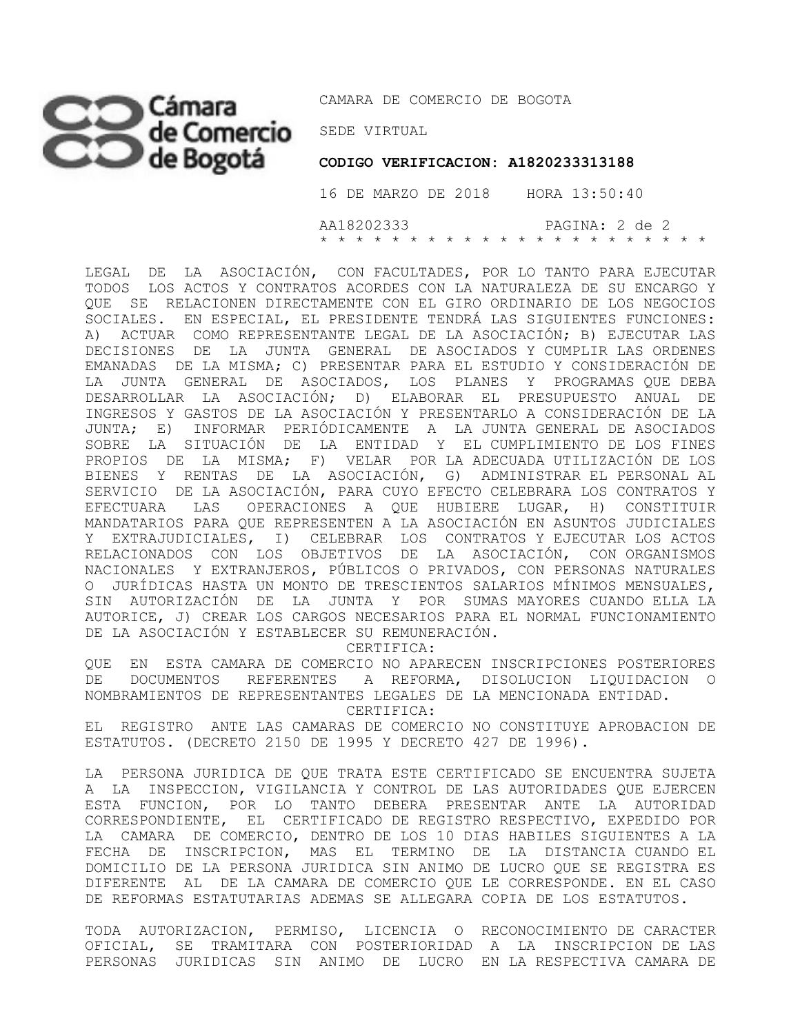## SEDE VIRTUAL

CAMARA DE COMERCIO DE BOGOTA

**CODIGO VERIFICACION: A1820233313188** 

 16 DE MARZO DE 2018 HORA 13:50:40 AA18202333 PAGINA: 2 de 2 \* \* \* \* \* \* \* \* \* \* \* \* \* \* \* \* \* \* \* \* \* \*

LEGAL DE LA ASOCIACIÓN, CON FACULTADES, POR LO TANTO PARA EJECUTAR TODOS LOS ACTOS Y CONTRATOS ACORDES CON LA NATURALEZA DE SU ENCARGO Y QUE SE RELACIONEN DIRECTAMENTE CON EL GIRO ORDINARIO DE LOS NEGOCIOS SOCIALES. EN ESPECIAL, EL PRESIDENTE TENDRÁ LAS SIGUIENTES FUNCIONES: A) ACTUAR COMO REPRESENTANTE LEGAL DE LA ASOCIACIÓN; B) EJECUTAR LAS DECISIONES DE LA JUNTA GENERAL DE ASOCIADOS Y CUMPLIR LAS ORDENES EMANADAS DE LA MISMA; C) PRESENTAR PARA EL ESTUDIO Y CONSIDERACIÓN DE LA JUNTA GENERAL DE ASOCIADOS, LOS PLANES Y PROGRAMAS QUE DEBA DESARROLLAR LA ASOCIACIÓN; D) ELABORAR EL PRESUPUESTO ANUAL DE INGRESOS Y GASTOS DE LA ASOCIACIÓN Y PRESENTARLO A CONSIDERACIÓN DE LA JUNTA; E) INFORMAR PERIÓDICAMENTE A LA JUNTA GENERAL DE ASOCIADOS SOBRE LA SITUACIÓN DE LA ENTIDAD Y EL CUMPLIMIENTO DE LOS FINES PROPIOS DE LA MISMA; F) VELAR POR LA ADECUADA UTILIZACIÓN DE LOS BIENES Y RENTAS DE LA ASOCIACIÓN, G) ADMINISTRAR EL PERSONAL AL SERVICIO DE LA ASOCIACIÓN, PARA CUYO EFECTO CELEBRARA LOS CONTRATOS Y EFECTUARA LAS OPERACIONES A QUE HUBIERE LUGAR, H) CONSTITUIR MANDATARIOS PARA QUE REPRESENTEN A LA ASOCIACIÓN EN ASUNTOS JUDICIALES Y EXTRAJUDICIALES, I) CELEBRAR LOS CONTRATOS Y EJECUTAR LOS ACTOS RELACIONADOS CON LOS OBJETIVOS DE LA ASOCIACIÓN, CON ORGANISMOS NACIONALES Y EXTRANJEROS, PÚBLICOS O PRIVADOS, CON PERSONAS NATURALES O JURÍDICAS HASTA UN MONTO DE TRESCIENTOS SALARIOS MÍNIMOS MENSUALES, SIN AUTORIZACIÓN DE LA JUNTA Y POR SUMAS MAYORES CUANDO ELLA LA AUTORICE, J) CREAR LOS CARGOS NECESARIOS PARA EL NORMAL FUNCIONAMIENTO DE LA ASOCIACIÓN Y ESTABLECER SU REMUNERACIÓN.

CERTIFICA:

QUE EN ESTA CAMARA DE COMERCIO NO APARECEN INSCRIPCIONES POSTERIORES DE DOCUMENTOS REFERENTES A REFORMA, DISOLUCION LIQUIDACION O NOMBRAMIENTOS DE REPRESENTANTES LEGALES DE LA MENCIONADA ENTIDAD.

CERTIFICA:

EL REGISTRO ANTE LAS CAMARAS DE COMERCIO NO CONSTITUYE APROBACION DE ESTATUTOS. (DECRETO 2150 DE 1995 Y DECRETO 427 DE 1996).

LA PERSONA JURIDICA DE QUE TRATA ESTE CERTIFICADO SE ENCUENTRA SUJETA A LA INSPECCION, VIGILANCIA Y CONTROL DE LAS AUTORIDADES QUE EJERCEN ESTA FUNCION, POR LO TANTO DEBERA PRESENTAR ANTE LA AUTORIDAD CORRESPONDIENTE, EL CERTIFICADO DE REGISTRO RESPECTIVO, EXPEDIDO POR LA CAMARA DE COMERCIO, DENTRO DE LOS 10 DIAS HABILES SIGUIENTES A LA FECHA DE INSCRIPCION, MAS EL TERMINO DE LA DISTANCIA CUANDO EL DOMICILIO DE LA PERSONA JURIDICA SIN ANIMO DE LUCRO QUE SE REGISTRA ES DIFERENTE AL DE LA CAMARA DE COMERCIO QUE LE CORRESPONDE. EN EL CASO DE REFORMAS ESTATUTARIAS ADEMAS SE ALLEGARA COPIA DE LOS ESTATUTOS.

TODA AUTORIZACION, PERMISO, LICENCIA O RECONOCIMIENTO DE CARACTER OFICIAL, SE TRAMITARA CON POSTERIORIDAD A LA INSCRIPCION DE LAS PERSONAS JURIDICAS SIN ANIMO DE LUCRO EN LA RESPECTIVA CAMARA DE